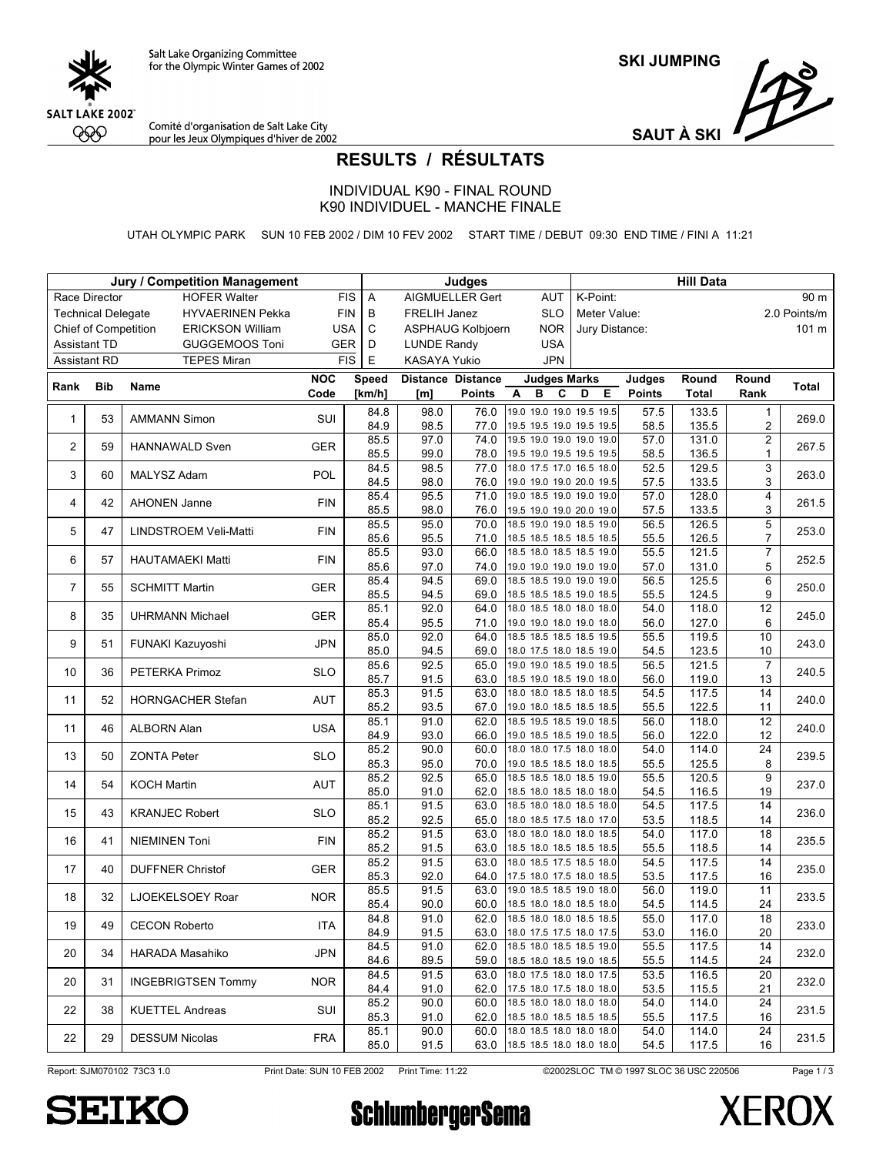

**SKI JUMPING**

Comité d'organisation de Salt Lake City<br>pour les Jeux Olympiques d'hiver de 2002

SS, **SAUT À SKI**

## **RESULTS / RÉSULTATS**

INDIVIDUAL K90 - FINAL ROUND K90 INDIVIDUEL - MANCHE FINALE

UTAH OLYMPIC PARK SUN 10 FEB 2002 / DIM 10 FEV 2002 START TIME / DEBUT 09:30 END TIME / FINI A 11:21

|                     |                             | <b>Jury / Competition Management</b> |            |              |                                        | <b>Judges</b>            |                                                                |                |               | <b>Hill Data</b> |                                            |              |
|---------------------|-----------------------------|--------------------------------------|------------|--------------|----------------------------------------|--------------------------|----------------------------------------------------------------|----------------|---------------|------------------|--------------------------------------------|--------------|
|                     | Race Director               | <b>HOFER Walter</b>                  | <b>FIS</b> | A            |                                        | AIGMUELLER Gert          | <b>AUT</b>                                                     | K-Point:       |               |                  |                                            | 90 m         |
|                     | <b>Technical Delegate</b>   | <b>HYVAERINEN Pekka</b>              | <b>FIN</b> | В            | FRELIH Janez                           |                          | <b>SLO</b>                                                     | Meter Value:   |               |                  |                                            | 2.0 Points/m |
|                     | <b>Chief of Competition</b> | <b>ERICKSON William</b>              | <b>USA</b> | $\mathbf C$  | <b>NOR</b><br><b>ASPHAUG Kolbjoern</b> |                          |                                                                | Jury Distance: |               |                  |                                            | 101 m        |
| <b>Assistant TD</b> |                             | <b>GUGGEMOOS Toni</b>                | GER        | D            | <b>LUNDE Randy</b>                     |                          | <b>USA</b>                                                     |                |               |                  |                                            |              |
| <b>Assistant RD</b> |                             | <b>TEPES Miran</b>                   | <b>FIS</b> | $\mathsf E$  | KASAYA Yukio                           |                          | <b>JPN</b>                                                     |                |               |                  |                                            |              |
|                     |                             |                                      | NOC        | Speed        |                                        | <b>Distance Distance</b> | <b>Judges Marks</b>                                            |                | Judges        | Round            | Round                                      |              |
| Rank                | <b>Bib</b>                  | Name                                 | Code       | [km/h]       | [m]                                    | <b>Points</b>            | в<br>C<br>Α                                                    | D<br>Е         | <b>Points</b> | <b>Total</b>     | Rank                                       | Total        |
| $\mathbf{1}$        | 53                          | <b>AMMANN Simon</b>                  | <b>SUI</b> | 84.8         | 98.0                                   | 76.0                     | 19.0 19.0 19.0 19.5 19.5                                       |                | 57.5          | 133.5            | $\mathbf{1}$                               | 269.0        |
|                     |                             |                                      |            | 84.9         | 98.5                                   | 77.0                     | 19.5 19.5 19.0 19.5 19.5                                       |                | 58.5          | 135.5            | $\overline{2}$                             |              |
| 2                   | 59                          | <b>HANNAWALD Sven</b>                | <b>GER</b> | 85.5<br>85.5 | 97.0<br>99.0                           | 74.0<br>78.0             | 19.5 19.0 19.0 19.0 19.0<br>19.5 19.0 19.5 19.5 19.5           |                | 57.0<br>58.5  | 131.0<br>136.5   | $\overline{\mathbf{c}}$<br>$\mathbf{1}$    | 267.5        |
|                     |                             |                                      | POL        | 84.5         | 98.5                                   | 77.0                     | 18.0 17.5 17.0 16.5 18.0                                       |                | 52.5          | 129.5            | 3                                          | 263.0        |
| 3                   | 60                          | MALYSZ Adam                          |            | 84.5         | 98.0                                   | 76.0                     | 19.0 19.0 19.0 20.0 19.5                                       |                | 57.5          | 133.5            | 3                                          |              |
| 4                   | 42                          | <b>AHONEN Janne</b>                  | <b>FIN</b> | 85.4         | 95.5                                   | 71.0                     | 19.0 18.5 19.0 19.0 19.0                                       |                | 57.0          | 128.0            | 4                                          | 261.5        |
|                     |                             |                                      |            | 85.5         | 98.0                                   | 76.0                     | 19.5 19.0 19.0 20.0 19.0                                       |                | 57.5          | 133.5            | 3                                          |              |
| 5                   | 47                          | LINDSTROEM Veli-Matti                | <b>FIN</b> | 85.5         | 95.0                                   | 70.0                     | 18.5 19.0 19.0 18.5 19.0                                       |                | 56.5          | 126.5            | 5                                          | 253.0        |
|                     |                             |                                      |            | 85.6<br>85.5 | 95.5<br>93.0                           | 71.0<br>66.0             | 18.5 18.5 18.5 18.5 18.5<br>18.5 18.0 18.5 18.5 19.0           |                | 55.5<br>55.5  | 126.5<br>121.5   | $\overline{\mathcal{I}}$<br>$\overline{7}$ |              |
| 6                   | 57                          | <b>HAUTAMAEKI Matti</b>              | <b>FIN</b> | 85.6         | 97.0                                   | 74.0                     | 19.0 19.0 19.0 19.0 19.0                                       |                | 57.0          | 131.0            | 5                                          | 252.5        |
|                     |                             |                                      |            | 85.4         | 94.5                                   | 69.0                     | 18.5 18.5 19.0 19.0 19.0                                       |                | 56.5          | 125.5            | $6\overline{6}$                            |              |
| $\overline{7}$      | 55                          | <b>SCHMITT Martin</b>                | <b>GER</b> | 85.5         | 94.5                                   | 69.0                     | 18.5 18.5 18.5 19.0 18.5                                       |                | 55.5          | 124.5            | 9                                          | 250.0        |
|                     |                             |                                      | <b>GER</b> | 85.1         | 92.0                                   | 64.0                     | 18.0 18.5 18.0 18.0 18.0                                       |                | 54.0          | 118.0            | 12                                         |              |
| 8                   | 35                          | <b>UHRMANN Michael</b>               |            | 85.4         | 95.5                                   | 71.0                     | 19.0 19.0 18.0 19.0 18.0                                       |                | 56.0          | 127.0            | 6                                          | 245.0        |
| 9                   | 51                          | FUNAKI Kazuyoshi                     | <b>JPN</b> | 85.0         | 92.0                                   | 64.0                     | 18.5 18.5 18.5 18.5 19.5                                       |                | 55.5          | 119.5            | 10                                         | 243.0        |
|                     |                             |                                      |            | 85.0         | 94.5                                   | 69.0                     | 18.0 17.5 18.0 18.5 19.0                                       |                | 54.5          | 123.5            | 10                                         |              |
| 10                  | 36                          | PETERKA Primoz                       | <b>SLO</b> | 85.6         | 92.5                                   | 65.0                     | 19.0 19.0 18.5 19.0 18.5                                       |                | 56.5          | 121.5            | $\overline{7}$                             | 240.5        |
|                     |                             |                                      |            | 85.7<br>85.3 | 91.5<br>91.5                           | 63.0<br>63.0             | 18.5 19.0 18.5 19.0 18.0<br>18.0 18.0 18.5 18.0 18.5           |                | 56.0<br>54.5  | 119.0<br>117.5   | 13<br>14                                   |              |
| 11                  | 52                          | HORNGACHER Stefan                    | <b>AUT</b> | 85.2         | 93.5                                   | 67.0                     | 19.0 18.0 18.5 18.5 18.5                                       |                | 55.5          | 122.5            | 11                                         | 240.0        |
|                     |                             |                                      |            | 85.1         | 91.0                                   | 62.0                     | 18.5 19.5 18.5 19.0 18.5                                       |                | 56.0          | 118.0            | $\overline{12}$                            |              |
| 11                  | 46                          | <b>ALBORN Alan</b>                   | <b>USA</b> | 84.9         | 93.0                                   | 66.0                     | 19.0 18.5 18.5 19.0 18.5                                       |                | 56.0          | 122.0            | 12                                         | 240.0        |
| 13                  | 50                          | <b>ZONTA Peter</b>                   | <b>SLO</b> | 85.2         | 90.0                                   | 60.0                     | 18.0 18.0 17.5 18.0 18.0                                       |                | 54.0          | 114.0            | 24                                         | 239.5        |
|                     |                             |                                      |            | 85.3         | 95.0                                   | 70.0                     | 19.0 18.5 18.5 18.0 18.5                                       |                | 55.5          | 125.5            | 8                                          |              |
| 14                  | 54                          | <b>KOCH Martin</b>                   | AUT        | 85.2         | 92.5                                   | 65.0                     | 18.5 18.5 18.0 18.5 19.0                                       |                | 55.5          | 120.5            | $\overline{9}$                             | 237.0        |
|                     |                             |                                      |            | 85.0<br>85.1 | 91.0<br>91.5                           | 62.0<br>63.0             | 18.5 18.0 18.5 18.0 18.0<br>18.5 18.0 18.0 18.5 18.0           |                | 54.5<br>54.5  | 116.5<br>117.5   | 19<br>14                                   |              |
| 15                  | 43                          | <b>KRANJEC Robert</b>                | <b>SLO</b> | 85.2         | 92.5                                   | 65.0                     | 18.0 18.5 17.5 18.0 17.0                                       |                | 53.5          | 118.5            | 14                                         | 236.0        |
|                     |                             |                                      |            | 85.2         | 91.5                                   | 63.0                     | 18.0 18.0 18.0 18.0 18.5                                       |                | 54.0          | 117.0            | 18                                         |              |
| 16                  | 41                          | <b>NIEMINEN Toni</b>                 | <b>FIN</b> | 85.2         | 91.5                                   | 63.0                     | 18.5 18.0 18.5 18.5 18.5                                       |                | 55.5          | 118.5            | 14                                         | 235.5        |
| 17                  | 40                          | <b>DUFFNER Christof</b>              | <b>GER</b> | 85.2         | 91.5                                   | 63.0                     | 18.0 18.5 17.5 18.5 18.0                                       |                | 54.5          | 117.5            | 14                                         | 235.0        |
|                     |                             |                                      |            | 85.3         | 92.0                                   | 64.0                     | 17.5 18.0 17.5 18.0 18.5                                       |                | 53.5          | 117.5            | 16                                         |              |
| 18                  | 32                          | LJOEKELSOEY Roar                     | <b>NOR</b> | 85.5         | 91.5                                   | 63.0                     | 19.0 18.5 18.5 19.0 18.0                                       |                | 56.0          | 119.0            | 11                                         | 233.5        |
|                     |                             |                                      |            | 85.4         | 90.0                                   | 60.0                     | 18.5 18.0 18.0 18.5 18.0                                       |                | 54.5          | 114.5            | 24<br>18                                   |              |
| 19                  | 49                          | <b>CECON Roberto</b>                 | ITA.       | 84.8<br>84.9 | 91.0<br>91.5                           |                          | 62.0 18.5 18.0 18.0 18.5 18.5<br>63.0 18.0 17.5 17.5 18.0 17.5 |                | 55.0<br>53.0  | 117.0<br>116.0   | 20                                         | 233.0        |
|                     |                             |                                      |            | 84.5         | 91.0                                   | 62.0                     | 18.5 18.0 18.5 18.5 19.0                                       |                | 55.5          | 117.5            | 14                                         |              |
| 20                  | 34                          | <b>HARADA Masahiko</b>               | <b>JPN</b> | 84.6         | 89.5                                   | 59.0                     | 18.5 18.0 18.5 19.0 18.5                                       |                | 55.5          | 114.5            | 24                                         | 232.0        |
|                     |                             |                                      |            | 84.5         | 91.5                                   |                          | 63.0 18.0 17.5 18.0 18.0 17.5                                  |                | 53.5          | 116.5            | 20                                         |              |
| 20                  | 31                          | <b>INGEBRIGTSEN Tommy</b>            | <b>NOR</b> | 84.4         | 91.0                                   | 62.0                     | 17.5 18.0 17.5 18.0 18.0                                       |                | 53.5          | 115.5            | 21                                         | 232.0        |
| 22                  | 38                          | <b>KUETTEL Andreas</b>               | SUI        | 85.2         | 90.0                                   | 60.0                     | 18.5 18.0 18.0 18.0 18.0                                       |                | 54.0          | 114.0            | 24                                         | 231.5        |
|                     |                             |                                      |            | 85.3         | 91.0                                   | 62.0                     | 18.5 18.0 18.5 18.5 18.5                                       |                | 55.5          | 117.5            | 16                                         |              |
| 22                  | 29                          | <b>DESSUM Nicolas</b>                | FRA        | 85.1         | 90.0                                   | 60.0                     | 18.0 18.5 18.0 18.0 18.0<br>63.0 18.5 18.5 18.0 18.0 18.0      |                | 54.0          | 114.0            | 24                                         | 231.5        |
|                     |                             |                                      |            | 85.0         | 91.5                                   |                          |                                                                |                | 54.5          | 117.5            | 16                                         |              |

Report: SJM070102 73C3 1.0 Print Date: SUN 10 FEB 2002 Print Time: 11:22 ©2002SLOC TM © 1997 SLOC 36 USC 220506

Page 1/3



**SchlumbergerSema** 

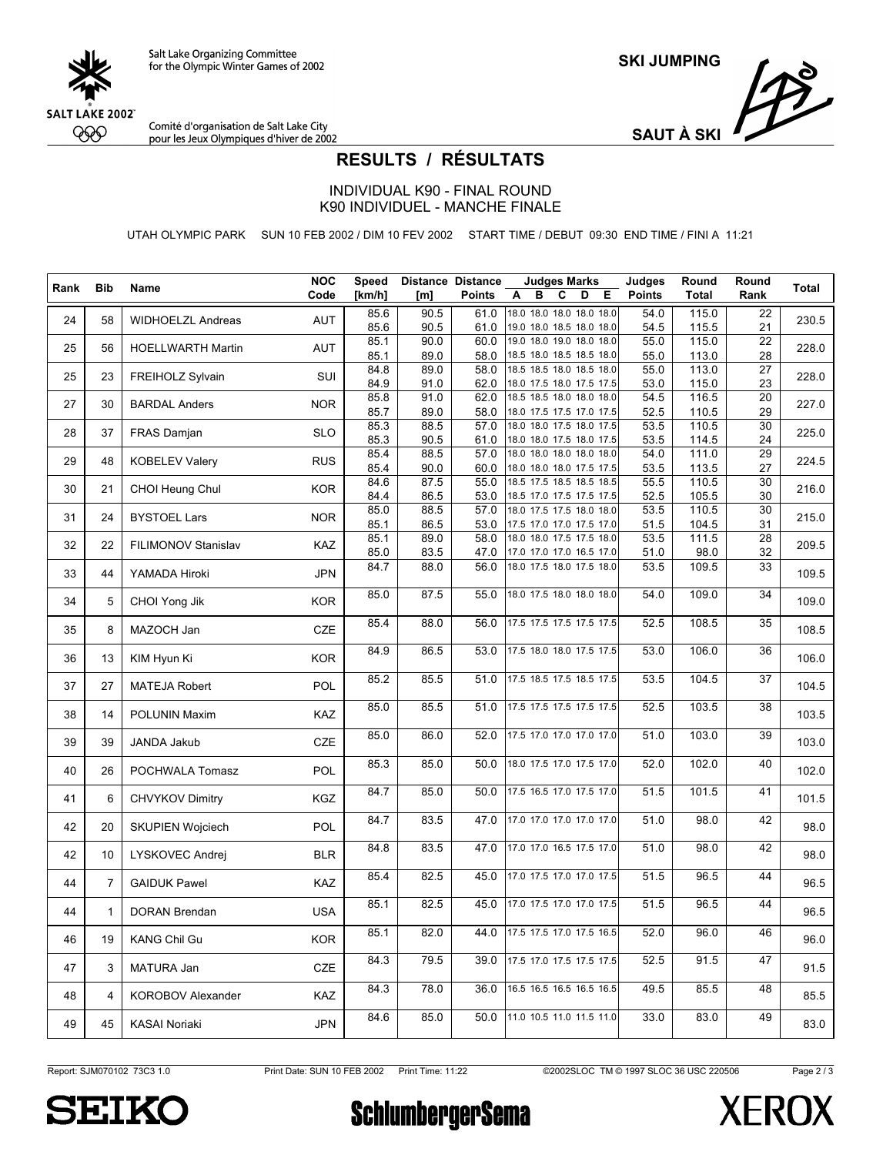

**SKI JUMPING**

Comité d'organisation de Salt Lake City<br>pour les Jeux Olympiques d'hiver de 2002



## **RESULTS / RÉSULTATS**

INDIVIDUAL K90 - FINAL ROUND K90 INDIVIDUEL - MANCHE FINALE

UTAH OLYMPIC PARK SUN 10 FEB 2002 / DIM 10 FEV 2002 START TIME / DEBUT 09:30 END TIME / FINI A 11:21

| Rank | <b>Bib</b>     | Name                     | <b>NOC</b> | Speed        |              | <b>Distance Distance</b> | <b>Judges Marks</b>                                  | Judges        | Round          | Round           | Total |
|------|----------------|--------------------------|------------|--------------|--------------|--------------------------|------------------------------------------------------|---------------|----------------|-----------------|-------|
|      |                |                          | Code       | [km/h]       | [m]          | <b>Points</b>            | A<br>в<br>C<br>D<br>Е                                | <b>Points</b> | <b>Total</b>   | Rank            |       |
| 24   | 58             | <b>WIDHOELZL Andreas</b> | AUT        | 85.6<br>85.6 | 90.5<br>90.5 | 61.0<br>61.0             | 18.0 18.0 18.0 18.0 18.0<br>19.0 18.0 18.5 18.0 18.0 | 54.0<br>54.5  | 115.0<br>115.5 | 22<br>21        | 230.5 |
| 25   | 56             | <b>HOELLWARTH Martin</b> | AUT        | 85.1<br>85.1 | 90.0<br>89.0 | 60.0<br>58.0             | 19.0 18.0 19.0 18.0 18.0<br>18.5 18.0 18.5 18.5 18.0 | 55.0<br>55.0  | 115.0<br>113.0 | 22<br>28        | 228.0 |
| 25   | 23             | FREIHOLZ Sylvain         | SUI        | 84.8         | 89.0         | 58.0                     | 18.5 18.5 18.0 18.5 18.0                             | 55.0          | 113.0          | 27              | 228.0 |
|      |                |                          |            | 84.9         | 91.0         | 62.0                     | 18.0 17.5 18.0 17.5 17.5                             | 53.0          | 115.0          | 23              |       |
| 27   | 30             | <b>BARDAL Anders</b>     | <b>NOR</b> | 85.8<br>85.7 | 91.0<br>89.0 | 62.0<br>58.0             | 18.5 18.5 18.0 18.0 18.0<br>18.0 17.5 17.5 17.0 17.5 | 54.5<br>52.5  | 116.5<br>110.5 | 20<br>29        | 227.0 |
| 28   | 37             | FRAS Damjan              | <b>SLO</b> | 85.3         | 88.5         | 57.0                     | 18.0 18.0 17.5 18.0 17.5                             | 53.5          | 110.5          | 30              | 225.0 |
|      |                |                          |            | 85.3         | 90.5         | 61.0                     | 18.0 18.0 17.5 18.0 17.5                             | 53.5          | 114.5          | 24              |       |
| 29   | 48             | <b>KOBELEV Valery</b>    | <b>RUS</b> | 85.4         | 88.5         | 57.0                     | 18.0 18.0 18.0 18.0 18.0                             | 54.0          | 111.0          | 29              | 224.5 |
|      |                |                          |            | 85.4<br>84.6 | 90.0<br>87.5 | 60.0<br>55.0             | 18.0 18.0 18.0 17.5 17.5<br>18.5 17.5 18.5 18.5 18.5 | 53.5<br>55.5  | 113.5<br>110.5 | 27<br>30        |       |
| 30   | 21             | CHOI Heung Chul          | <b>KOR</b> | 84.4         | 86.5         | 53.0                     | 18.5 17.0 17.5 17.5 17.5                             | 52.5          | 105.5          | 30              | 216.0 |
|      |                |                          |            | 85.0         | 88.5         | 57.0                     | 18.0 17.5 17.5 18.0 18.0                             | 53.5          | 110.5          | $\overline{30}$ |       |
| 31   | 24             | <b>BYSTOEL Lars</b>      | <b>NOR</b> | 85.1         | 86.5         | 53.0                     | 17.5 17.0 17.0 17.5 17.0                             | 51.5          | 104.5          | 31              | 215.0 |
|      |                |                          |            | 85.1         | 89.0         | 58.0                     | 18.0 18.0 17.5 17.5 18.0                             | 53.5          | 111.5          | 28              |       |
| 32   | 22             | FILIMONOV Stanislav      | KAZ        | 85.0         | 83.5         | 47.0                     | 17.0 17.0 17.0 16.5 17.0                             | 51.0          | 98.0           | 32              | 209.5 |
| 33   | 44             | YAMADA Hiroki            | <b>JPN</b> | 84.7         | 88.0         | 56.0                     | 18.0 17.5 18.0 17.5 18.0                             | 53.5          | 109.5          | 33              | 109.5 |
| 34   | 5              | CHOI Yong Jik            | <b>KOR</b> | 85.0         | 87.5         | 55.0                     | 18.0 17.5 18.0 18.0 18.0                             | 54.0          | 109.0          | 34              | 109.0 |
| 35   | 8              | MAZOCH Jan               | CZE        | 85.4         | 88.0         | 56.0                     | 17.5 17.5 17.5 17.5 17.5                             | 52.5          | 108.5          | 35              | 108.5 |
| 36   | 13             | KIM Hyun Ki              | <b>KOR</b> | 84.9         | 86.5         | 53.0                     | 17.5 18.0 18.0 17.5 17.5                             | 53.0          | 106.0          | 36              | 106.0 |
| 37   | 27             | <b>MATEJA Robert</b>     | POL        | 85.2         | 85.5         | 51.0                     | 17.5 18.5 17.5 18.5 17.5                             | 53.5          | 104.5          | $\overline{37}$ | 104.5 |
| 38   | 14             | POLUNIN Maxim            | KAZ        | 85.0         | 85.5         | 51.0                     | 17.5 17.5 17.5 17.5 17.5                             | 52.5          | 103.5          | 38              | 103.5 |
| 39   | 39             | JANDA Jakub              | CZE        | 85.0         | 86.0         | 52.0                     | 17.5 17.0 17.0 17.0 17.0                             | 51.0          | 103.0          | 39              | 103.0 |
| 40   | 26             | POCHWALA Tomasz          | POL        | 85.3         | 85.0         | 50.0                     | 18.0 17.5 17.0 17.5 17.0                             | 52.0          | 102.0          | 40              | 102.0 |
| 41   | 6              | <b>CHVYKOV Dimitry</b>   | KGZ        | 84.7         | 85.0         | 50.0                     | 17.5 16.5 17.0 17.5 17.0                             | 51.5          | 101.5          | 41              | 101.5 |
| 42   | 20             | SKUPIEN Wojciech         | POL        | 84.7         | 83.5         | 47.0                     | 17.0 17.0 17.0 17.0 17.0                             | 51.0          | 98.0           | 42              | 98.0  |
| 42   | 10             | LYSKOVEC Andrej          | <b>BLR</b> | 84.8         | 83.5         | 47.0                     | 17.0 17.0 16.5 17.5 17.0                             | 51.0          | 98.0           | 42              | 98.0  |
| 44   | $\overline{7}$ | <b>GAIDUK Pawel</b>      | KAZ        | 85.4         | 82.5         | 45.0                     | 17.0 17.5 17.0 17.0 17.5                             | 51.5          | 96.5           | 44              | 96.5  |
| 44   | $\mathbf{1}$   | <b>DORAN Brendan</b>     | <b>USA</b> | 85.1         | 82.5         | 45.0                     | 17.0 17.5 17.0 17.0 17.5                             | 51.5          | 96.5           | 44              | 96.5  |
| 46   | 19             | <b>KANG Chil Gu</b>      | <b>KOR</b> | 85.1         | 82.0         | 44.0                     | 17.5 17.5 17.0 17.5 16.5                             | 52.0          | 96.0           | 46              | 96.0  |
| 47   | 3              | MATURA Jan               | CZE        | 84.3         | 79.5         | 39.0                     | 17.5 17.0 17.5 17.5 17.5                             | 52.5          | 91.5           | 47              | 91.5  |
| 48   | 4              | <b>KOROBOV Alexander</b> | KAZ        | 84.3         | 78.0         | 36.0                     | 16.5 16.5 16.5 16.5 16.5                             | 49.5          | 85.5           | 48              | 85.5  |
| 49   | 45             | <b>KASAI Noriaki</b>     | <b>JPN</b> | 84.6         | 85.0         | 50.0                     | 11.0 10.5 11.0 11.5 11.0                             | 33.0          | 83.0           | 49              | 83.0  |

Page 2 / 3